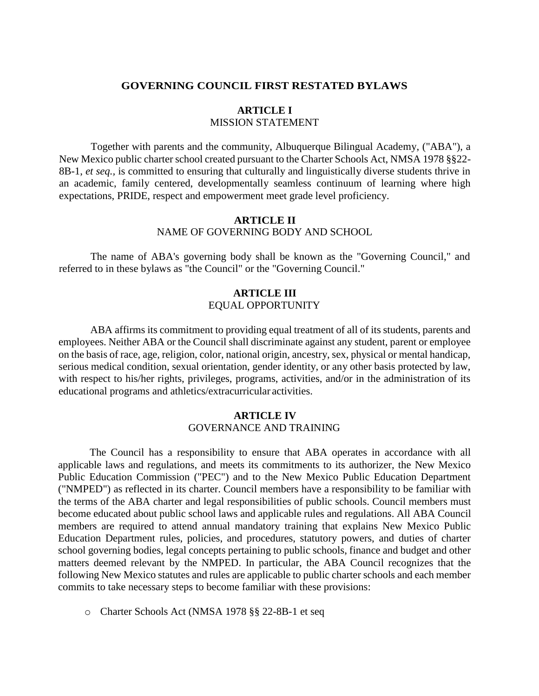#### **GOVERNING COUNCIL FIRST RESTATED BYLAWS**

# **ARTICLE I** MISSION STATEMENT

Together with parents and the community, Albuquerque Bilingual Academy, ("ABA"), a New Mexico public charter school created pursuant to the Charter Schools Act, NMSA 1978 §§22- 8B-1, *et seq.,* is committed to ensuring that culturally and linguistically diverse students thrive in an academic, family centered, developmentally seamless continuum of learning where high expectations, PRIDE, respect and empowerment meet grade level proficiency.

#### **ARTICLE II** NAME OF GOVERNING BODY AND SCHOOL

The name of ABA's governing body shall be known as the "Governing Council," and referred to in these bylaws as "the Council" or the "Governing Council."

# **ARTICLE III** EQUAL OPPORTUNITY

ABA affirms its commitment to providing equal treatment of all of its students, parents and employees. Neither ABA or the Council shall discriminate against any student, parent or employee on the basis of race, age, religion, color, national origin, ancestry, sex, physical or mental handicap, serious medical condition, sexual orientation, gender identity, or any other basis protected by law, with respect to his/her rights, privileges, programs, activities, and/or in the administration of its educational programs and athletics/extracurricular activities.

# **ARTICLE IV** GOVERNANCE AND TRAINING

The Council has a responsibility to ensure that ABA operates in accordance with all applicable laws and regulations, and meets its commitments to its authorizer, the New Mexico Public Education Commission ("PEC") and to the New Mexico Public Education Department ("NMPED") as reflected in its charter. Council members have a responsibility to be familiar with the terms of the ABA charter and legal responsibilities of public schools. Council members must become educated about public school laws and applicable rules and regulations. All ABA Council members are required to attend annual mandatory training that explains New Mexico Public Education Department rules, policies, and procedures, statutory powers, and duties of charter school governing bodies, legal concepts pertaining to public schools, finance and budget and other matters deemed relevant by the NMPED. In particular, the ABA Council recognizes that the following New Mexico statutes and rules are applicable to public charter schools and each member commits to take necessary steps to become familiar with these provisions:

o Charter Schools Act (NMSA 1978 §§ 22-8B-1 et seq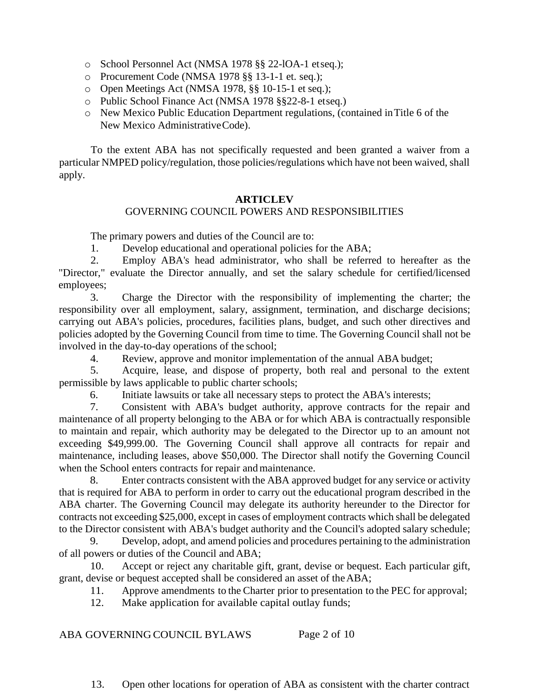- o School Personnel Act (NMSA 1978 §§ 22-lOA-1 etseq.);
- o Procurement Code (NMSA 1978 §§ 13-1-1 et. seq.);
- o Open Meetings Act (NMSA 1978, §§ 10-15-1 et seq.);
- o Public School Finance Act (NMSA 1978 §§22-8-1 etseq.)
- o New Mexico Public Education Department regulations, (contained inTitle 6 of the New Mexico AdministrativeCode).

To the extent ABA has not specifically requested and been granted a waiver from a particular NMPED policy/regulation, those policies/regulations which have not been waived, shall apply.

# **ARTICLEV**

# GOVERNING COUNCIL POWERS AND RESPONSIBILITIES

The primary powers and duties of the Council are to:

1. Develop educational and operational policies for the ABA;

2. Employ ABA's head administrator, who shall be referred to hereafter as the "Director," evaluate the Director annually, and set the salary schedule for certified/licensed employees;

3. Charge the Director with the responsibility of implementing the charter; the responsibility over all employment, salary, assignment, termination, and discharge decisions; carrying out ABA's policies, procedures, facilities plans, budget, and such other directives and policies adopted by the Governing Council from time to time. The Governing Council shall not be involved in the day-to-day operations of the school;

4. Review, approve and monitor implementation of the annual ABA budget;

5. Acquire, lease, and dispose of property, both real and personal to the extent permissible by laws applicable to public charter schools;

6. Initiate lawsuits or take all necessary steps to protect the ABA's interests;

7. Consistent with ABA's budget authority, approve contracts for the repair and maintenance of all property belonging to the ABA or for which ABA is contractually responsible to maintain and repair, which authority may be delegated to the Director up to an amount not exceeding \$49,999.00. The Governing Council shall approve all contracts for repair and maintenance, including leases, above \$50,000. The Director shall notify the Governing Council when the School enters contracts for repair and maintenance.

8. Enter contracts consistent with the ABA approved budget for any service or activity that is required for ABA to perform in order to carry out the educational program described in the ABA charter. The Governing Council may delegate its authority hereunder to the Director for contracts not exceeding \$25,000, except in cases of employment contracts which shall be delegated to the Director consistent with ABA's budget authority and the Council's adopted salary schedule;

9. Develop, adopt, and amend policies and procedures pertaining to the administration of all powers or duties of the Council and ABA;

10. Accept or reject any charitable gift, grant, devise or bequest. Each particular gift, grant, devise or bequest accepted shall be considered an asset of theABA;

11. Approve amendments to the Charter prior to presentation to the PEC for approval;

12. Make application for available capital outlay funds;

ABA GOVERNING COUNCIL BYLAWS Page 2 of 10

13. Open other locations for operation of ABA as consistent with the charter contract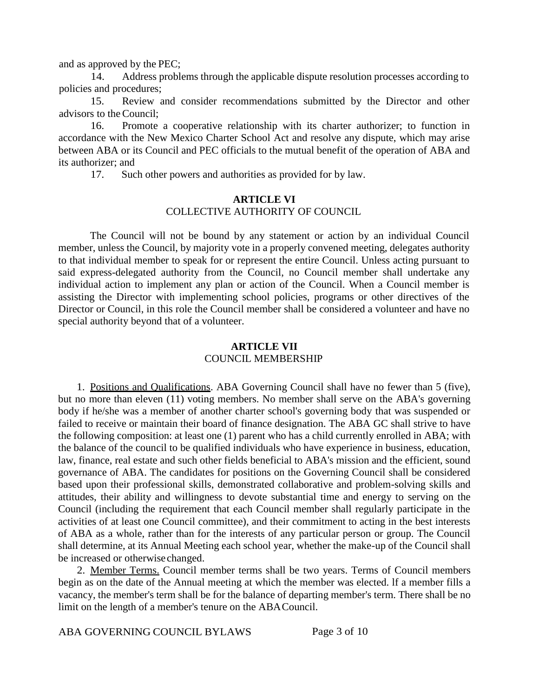and as approved by the PEC;

14. Address problems through the applicable dispute resolution processes according to policies and procedures;

15. Review and consider recommendations submitted by the Director and other advisors to the Council;

16. Promote a cooperative relationship with its charter authorizer; to function in accordance with the New Mexico Charter School Act and resolve any dispute, which may arise between ABA or its Council and PEC officials to the mutual benefit of the operation of ABA and its authorizer; and

17. Such other powers and authorities as provided for by law.

# **ARTICLE VI** COLLECTIVE AUTHORITY OF COUNCIL

The Council will not be bound by any statement or action by an individual Council member, unless the Council, by majority vote in a properly convened meeting, delegates authority to that individual member to speak for or represent the entire Council. Unless acting pursuant to said express-delegated authority from the Council, no Council member shall undertake any individual action to implement any plan or action of the Council. When a Council member is assisting the Director with implementing school policies, programs or other directives of the Director or Council, in this role the Council member shall be considered a volunteer and have no special authority beyond that of a volunteer.

# **ARTICLE VII** COUNCIL MEMBERSHIP

1. Positions and Qualifications. ABA Governing Council shall have no fewer than 5 (five), but no more than eleven (11) voting members. No member shall serve on the ABA's governing body if he/she was a member of another charter school's governing body that was suspended or failed to receive or maintain their board of finance designation. The ABA GC shall strive to have the following composition: at least one (1) parent who has a child currently enrolled in ABA; with the balance of the council to be qualified individuals who have experience in business, education, law, finance, real estate and such other fields beneficial to ABA's mission and the efficient, sound governance of ABA. The candidates for positions on the Governing Council shall be considered based upon their professional skills, demonstrated collaborative and problem-solving skills and attitudes, their ability and willingness to devote substantial time and energy to serving on the Council (including the requirement that each Council member shall regularly participate in the activities of at least one Council committee), and their commitment to acting in the best interests of ABA as a whole, rather than for the interests of any particular person or group. The Council shall determine, at its Annual Meeting each school year, whether the make-up of the Council shall be increased or otherwise changed.

2. Member Terms. Council member terms shall be two years. Terms of Council members begin as on the date of the Annual meeting at which the member was elected. lf a member fills a vacancy, the member's term shall be for the balance of departing member's term. There shall be no limit on the length of a member's tenure on the ABACouncil.

ABA GOVERNING COUNCIL BYLAWS Page 3 of 10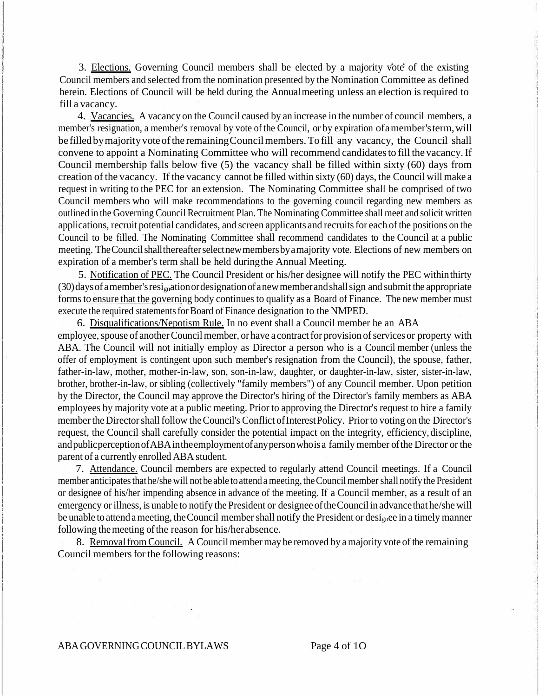3. Elections. Governing Council members shall be elected by a majority vote of the existing Council members and selected from the nomination presented by the Nomination Committee as defined herein. Elections of Council will be held during the Annual meeting unless an election is required to fill a vacancy.

4. Vacancies. A vacancy on the Council caused by an increase in the number of council members, a member's resignation, a member's removal by vote of the Council, or by expiration of a member's term, will be filled by majority vote of the remaining Council members. To fill any vacancy, the Council shall convene to appoint a Nominating Committee who will recommend candidatesto fill the vacancy.If Council membership falls below five (5) the vacancy shall be filled within sixty (60) days from creation of the vacancy. If the vacancy cannot be filled within sixty (60) days, the Council will make a request in writing to the PEC for an extension. The Nominating Committee shall be comprised of two Council members who will make recommendations to the governing council regarding new members as outlined in the Governing Council Recruitment Plan. The Nominating Committee shall meet and solicit written applications, recruit potential candidates, and screen applicants and recruits for each of the positions on the Council to be filled. The Nominating Committee shall recommend candidates to the Council at a public meeting. TheCouncilshallthereafterselectnewmembersbyamajority vote. Elections of new members on expiration of a member's term shall be held duringthe Annual Meeting.

5. Notification of PEC. The Council President or his/her designee will notify the PEC within thirty  $(30)$ days of amember's resignation or designation of a new member and shall sign and submit the appropriate forms to ensure that the governing body continues to qualify as a Board of Finance. The new member must execute the required statements for Board of Finance designation to the NMPED.

6. Disqualifications/Nepotism Rule. In no event shall a Council member be an ABA employee, spouse of another Council member, or have a contract for provision of services or property with ABA. The Council will not initially employ as Director a person who is a Council member (unless the offer of employment is contingent upon such member's resignation from the Council), the spouse, father, father-in-law, mother, mother-in-law, son, son-in-law, daughter, or daughter-in-law, sister, sister-in-law, brother, brother-in-law, or sibling (collectively "family members") of any Council member. Upon petition by the Director, the Council may approve the Director's hiring of the Director's family members as ABA employees by majority vote at a public meeting. Prior to approving the Director's request to hire a family member the Director shall follow the Council's Conflict of Interest Policy. Prior to voting on the Director's request, the Council shall carefully consider the potential impact on the integrity, efficiency,discipline, andpublicperceptionofABAintheemploymentofanypersonwhoisa family member ofthe Director or the parent of a currently enrolled ABA student.

7. Attendance. Council members are expected to regularly attend Council meetings. If a Council member anticipates that he/she will not be able to attend a meeting, the Council member shall notify the President or designee of his/her impending absence in advance of the meeting. If a Council member, as a result of an emergency or illness, is unable to notify the President or designee of the Council in advance that he/she will be unable to attend a meeting, the Council member shall notify the President or designee in a timely manner following the meeting of the reason for his/herabsence.

8. Removal from Council. A Council member may be removed by a majority vote of the remaining Council members for the following reasons: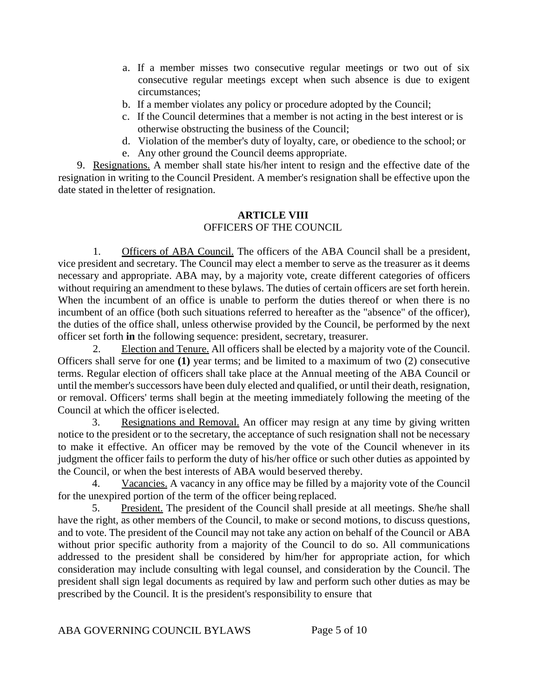- a. If a member misses two consecutive regular meetings or two out of six consecutive regular meetings except when such absence is due to exigent circumstances;
- b. If a member violates any policy or procedure adopted by the Council;
- c. If the Council determines that a member is not acting in the best interest or is otherwise obstructing the business of the Council;
- d. Violation of the member's duty of loyalty, care, or obedience to the school; or
- e. Any other ground the Council deems appropriate.

9. Resignations. A member shall state his/her intent to resign and the effective date of the resignation in writing to the Council President. A member's resignation shall be effective upon the date stated in theletter of resignation.

# **ARTICLE VIII**

# OFFICERS OF THE COUNCIL

1. Officers of ABA Council. The officers of the ABA Council shall be a president, vice president and secretary. The Council may elect a member to serve as the treasurer as it deems necessary and appropriate. ABA may, by a majority vote, create different categories of officers without requiring an amendment to these bylaws. The duties of certain officers are set forth herein. When the incumbent of an office is unable to perform the duties thereof or when there is no incumbent of an office (both such situations referred to hereafter as the "absence" of the officer), the duties of the office shall, unless otherwise provided by the Council, be performed by the next officer set forth **in** the following sequence: president, secretary, treasurer.

2. Election and Tenure. All officers shall be elected by a majority vote of the Council. Officers shall serve for one **(1)** year terms; and be limited to a maximum of two (2) consecutive terms. Regular election of officers shall take place at the Annual meeting of the ABA Council or until the member's successors have been duly elected and qualified, or until their death, resignation, or removal. Officers' terms shall begin at the meeting immediately following the meeting of the Council at which the officer is elected.

3. Resignations and Removal. An officer may resign at any time by giving written notice to the president or to the secretary, the acceptance of such resignation shall not be necessary to make it effective. An officer may be removed by the vote of the Council whenever in its judgment the officer fails to perform the duty of his/her office or such other duties as appointed by the Council, or when the best interests of ABA would beserved thereby.

4. Vacancies. A vacancy in any office may be filled by a majority vote of the Council for the unexpired portion of the term of the officer being replaced.

5. President. The president of the Council shall preside at all meetings. She/he shall have the right, as other members of the Council, to make or second motions, to discuss questions, and to vote. The president of the Council may not take any action on behalf of the Council or ABA without prior specific authority from a majority of the Council to do so. All communications addressed to the president shall be considered by him/her for appropriate action, for which consideration may include consulting with legal counsel, and consideration by the Council. The president shall sign legal documents as required by law and perform such other duties as may be prescribed by the Council. It is the president's responsibility to ensure that

ABA GOVERNING COUNCIL BYLAWS Page 5 of 10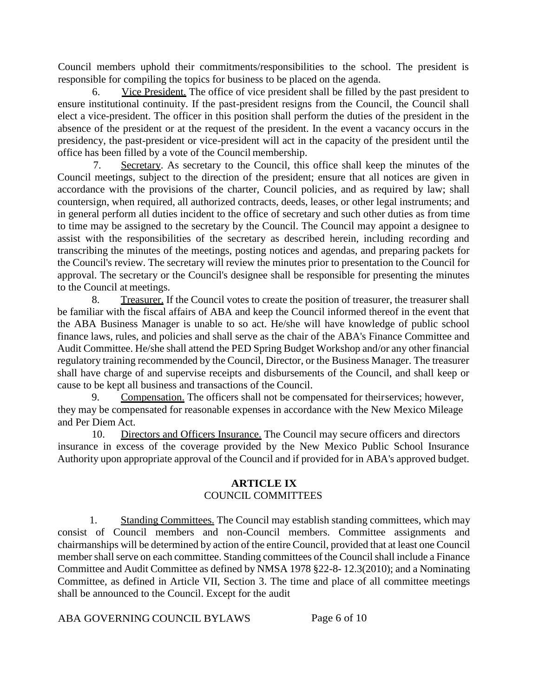Council members uphold their commitments/responsibilities to the school. The president is responsible for compiling the topics for business to be placed on the agenda.

6. Vice President. The office of vice president shall be filled by the past president to ensure institutional continuity. If the past-president resigns from the Council, the Council shall elect a vice-president. The officer in this position shall perform the duties of the president in the absence of the president or at the request of the president. In the event a vacancy occurs in the presidency, the past-president or vice-president will act in the capacity of the president until the office has been filled by a vote of the Council membership.

7. Secretary. As secretary to the Council, this office shall keep the minutes of the Council meetings, subject to the direction of the president; ensure that all notices are given in accordance with the provisions of the charter, Council policies, and as required by law; shall countersign, when required, all authorized contracts, deeds, leases, or other legal instruments; and in general perform all duties incident to the office of secretary and such other duties as from time to time may be assigned to the secretary by the Council. The Council may appoint a designee to assist with the responsibilities of the secretary as described herein, including recording and transcribing the minutes of the meetings, posting notices and agendas, and preparing packets for the Council's review. The secretary will review the minutes prior to presentation to the Council for approval. The secretary or the Council's designee shall be responsible for presenting the minutes to the Council at meetings.

8. Treasurer. If the Council votes to create the position of treasurer, the treasurer shall be familiar with the fiscal affairs of ABA and keep the Council informed thereof in the event that the ABA Business Manager is unable to so act. He/she will have knowledge of public school finance laws, rules, and policies and shall serve as the chair of the ABA's Finance Committee and Audit Committee. He/she shall attend the PED Spring Budget Workshop and/or any other financial regulatory training recommended by the Council, Director, or the Business Manager. The treasurer shall have charge of and supervise receipts and disbursements of the Council, and shall keep or cause to be kept all business and transactions of the Council.

9. Compensation. The officers shall not be compensated for theirservices; however, they may be compensated for reasonable expenses in accordance with the New Mexico Mileage and Per Diem Act.

10. Directors and Officers Insurance. The Council may secure officers and directors insurance in excess of the coverage provided by the New Mexico Public School Insurance Authority upon appropriate approval of the Council and if provided for in ABA's approved budget.

# **ARTICLE IX** COUNCIL COMMITTEES

1. Standing Committees. The Council may establish standing committees, which may consist of Council members and non-Council members. Committee assignments and chairmanships will be determined by action of the entire Council, provided that at least one Council member shall serve on each committee. Standing committees of the Council shall include a Finance Committee and Audit Committee as defined by NMSA 1978 §22-8- 12.3(2010); and a Nominating Committee, as defined in Article VII, Section 3. The time and place of all committee meetings shall be announced to the Council. Except for the audit

ABA GOVERNING COUNCIL BYLAWS Page 6 of 10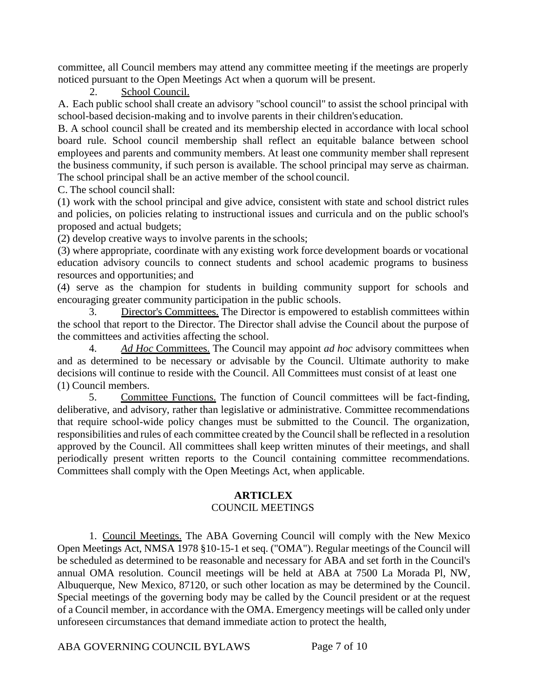committee, all Council members may attend any committee meeting if the meetings are properly noticed pursuant to the Open Meetings Act when a quorum will be present.

2. School Council.

A. Each public school shall create an advisory "school council" to assist the school principal with school-based decision-making and to involve parents in their children's education.

B. A school council shall be created and its membership elected in accordance with local school board rule. School council membership shall reflect an equitable balance between school employees and parents and community members. At least one community member shall represent the business community, if such person is available. The school principal may serve as chairman. The school principal shall be an active member of the school council.

C. The school council shall:

(1) work with the school principal and give advice, consistent with state and school district rules and policies, on policies relating to instructional issues and curricula and on the public school's proposed and actual budgets;

(2) develop creative ways to involve parents in the schools;

(3) where appropriate, coordinate with any existing work force development boards or vocational education advisory councils to connect students and school academic programs to business resources and opportunities; and

(4) serve as the champion for students in building community support for schools and encouraging greater community participation in the public schools.

3. Director's Committees. The Director is empowered to establish committees within the school that report to the Director. The Director shall advise the Council about the purpose of the committees and activities affecting the school.

4. *Ad Hoc* Committees. The Council may appoint *ad hoc* advisory committees when and as determined to be necessary or advisable by the Council. Ultimate authority to make decisions will continue to reside with the Council. All Committees must consist of at least one (1) Council members.

5. Committee Functions. The function of Council committees will be fact-finding, deliberative, and advisory, rather than legislative or administrative. Committee recommendations that require school-wide policy changes must be submitted to the Council. The organization, responsibilities and rules of each committee created by the Council shall be reflected in a resolution approved by the Council. All committees shall keep written minutes of their meetings, and shall periodically present written reports to the Council containing committee recommendations. Committees shall comply with the Open Meetings Act, when applicable.

# **ARTICLEX**

# COUNCIL MEETINGS

1. Council Meetings. The ABA Governing Council will comply with the New Mexico Open Meetings Act, NMSA 1978 §10-15-1 et seq. ("OMA"). Regular meetings of the Council will be scheduled as determined to be reasonable and necessary for ABA and set forth in the Council's annual OMA resolution. Council meetings will be held at ABA at 7500 La Morada Pl, NW, Albuquerque, New Mexico, 87120, or such other location as may be determined by the Council. Special meetings of the governing body may be called by the Council president or at the request of a Council member, in accordance with the OMA. Emergency meetings will be called only under unforeseen circumstances that demand immediate action to protect the health,

ABA GOVERNING COUNCIL BYLAWS Page 7 of 10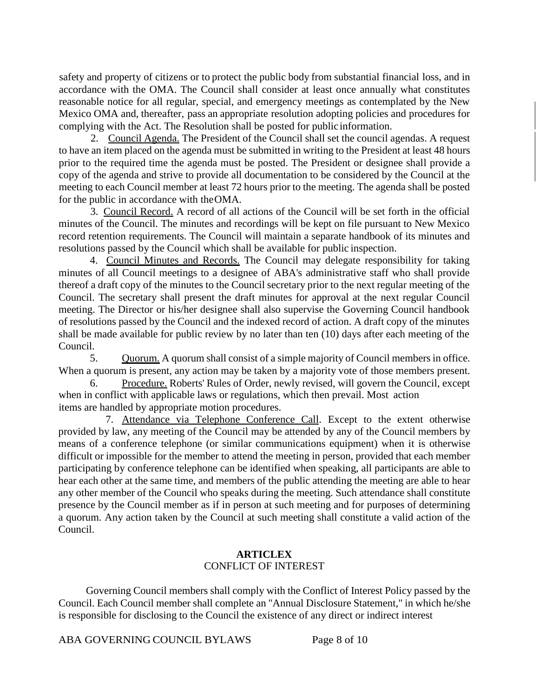safety and property of citizens or to protect the public body from substantial financial loss, and in accordance with the OMA. The Council shall consider at least once annually what constitutes reasonable notice for all regular, special, and emergency meetings as contemplated by the New Mexico OMA and, thereafter, pass an appropriate resolution adopting policies and procedures for complying with the Act. The Resolution shall be posted for public information.

2. Council Agenda. The President of the Council shall set the council agendas. A request to have an item placed on the agenda must be submitted in writing to the President at least 48 hours prior to the required time the agenda must be posted. The President or designee shall provide a copy of the agenda and strive to provide all documentation to be considered by the Council at the meeting to each Council member at least 72 hours prior to the meeting. The agenda shall be posted for the public in accordance with theOMA.

3. Council Record. A record of all actions of the Council will be set forth in the official minutes of the Council. The minutes and recordings will be kept on file pursuant to New Mexico record retention requirements. The Council will maintain a separate handbook of its minutes and resolutions passed by the Council which shall be available for public inspection.

4. Council Minutes and Records. The Council may delegate responsibility for taking minutes of all Council meetings to a designee of ABA's administrative staff who shall provide thereof a draft copy of the minutes to the Council secretary prior to the next regular meeting of the Council. The secretary shall present the draft minutes for approval at the next regular Council meeting. The Director or his/her designee shall also supervise the Governing Council handbook of resolutions passed by the Council and the indexed record of action. A draft copy of the minutes shall be made available for public review by no later than ten (10) days after each meeting of the Council.

5. Quorum. A quorum shall consist of a simple majority of Council members in office. When a quorum is present, any action may be taken by a majority vote of those members present.

6. Procedure. Roberts' Rules of Order, newly revised, will govern the Council, except when in conflict with applicable laws or regulations, which then prevail. Most action items are handled by appropriate motion procedures.

7. Attendance via Telephone Conference Call. Except to the extent otherwise provided by law, any meeting of the Council may be attended by any of the Council members by means of a conference telephone (or similar communications equipment) when it is otherwise difficult or impossible for the member to attend the meeting in person, provided that each member participating by conference telephone can be identified when speaking, all participants are able to hear each other at the same time, and members of the public attending the meeting are able to hear any other member of the Council who speaks during the meeting. Such attendance shall constitute presence by the Council member as if in person at such meeting and for purposes of determining a quorum. Any action taken by the Council at such meeting shall constitute a valid action of the Council.

# **ARTICLEX** CONFLICT OF INTEREST

Governing Council members shall comply with the Conflict of Interest Policy passed by the Council. Each Council member shall complete an "Annual Disclosure Statement," in which he/she is responsible for disclosing to the Council the existence of any direct or indirect interest

ABA GOVERNING COUNCIL BYLAWS Page 8 of 10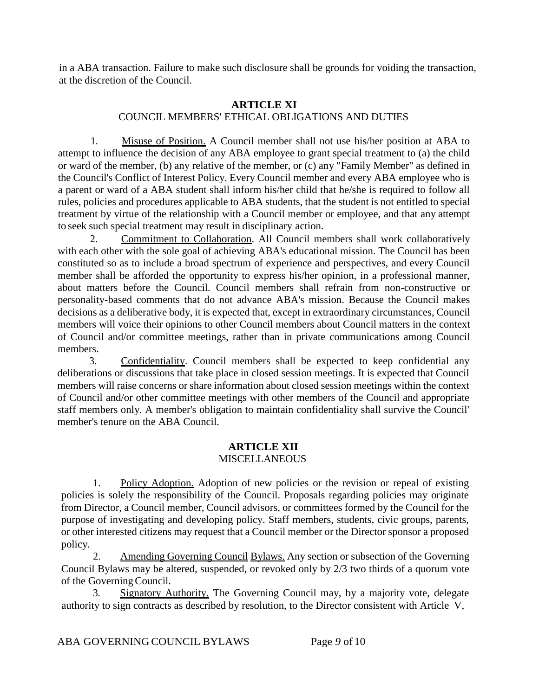in a ABA transaction. Failure to make such disclosure shall be grounds for voiding the transaction, at the discretion of the Council.

# **ARTICLE XI** COUNCIL MEMBERS' ETHICAL OBLIGATIONS AND DUTIES

1. Misuse of Position. A Council member shall not use his/her position at ABA to attempt to influence the decision of any ABA employee to grant special treatment to (a) the child or ward of the member, (b) any relative of the member, or (c) any "Family Member" as defined in the Council's Conflict of Interest Policy. Every Council member and every ABA employee who is a parent or ward of a ABA student shall inform his/her child that he/she is required to follow all rules, policies and procedures applicable to ABA students, that the student is not entitled to special treatment by virtue of the relationship with a Council member or employee, and that any attempt to seek such special treatment may result in disciplinary action.

2. Commitment to Collaboration. All Council members shall work collaboratively with each other with the sole goal of achieving ABA's educational mission. The Council has been constituted so as to include a broad spectrum of experience and perspectives, and every Council member shall be afforded the opportunity to express his/her opinion, in a professional manner, about matters before the Council. Council members shall refrain from non-constructive or personality-based comments that do not advance ABA's mission. Because the Council makes decisions as a deliberative body, it is expected that, except in extraordinary circumstances, Council members will voice their opinions to other Council members about Council matters in the context of Council and/or committee meetings, rather than in private communications among Council members.

3. Confidentiality. Council members shall be expected to keep confidential any deliberations or discussions that take place in closed session meetings. It is expected that Council members will raise concerns or share information about closed session meetings within the context of Council and/or other committee meetings with other members of the Council and appropriate staff members only. A member's obligation to maintain confidentiality shall survive the Council' member's tenure on the ABA Council.

# **ARTICLE XII MISCELLANEOUS**

1. Policy Adoption. Adoption of new policies or the revision or repeal of existing policies is solely the responsibility of the Council. Proposals regarding policies may originate from Director, a Council member, Council advisors, or committees formed by the Council for the purpose of investigating and developing policy. Staff members, students, civic groups, parents, or other interested citizens may request that a Council member or the Director sponsor a proposed policy.

2. Amending Governing Council Bylaws. Any section or subsection of the Governing Council Bylaws may be altered, suspended, or revoked only by 2/3 two thirds of a quorum vote of the GoverningCouncil.

3. Signatory Authority. The Governing Council may, by a majority vote, delegate authority to sign contracts as described by resolution, to the Director consistent with Article V,

ABA GOVERNING COUNCIL BYLAWS Page *9* of 10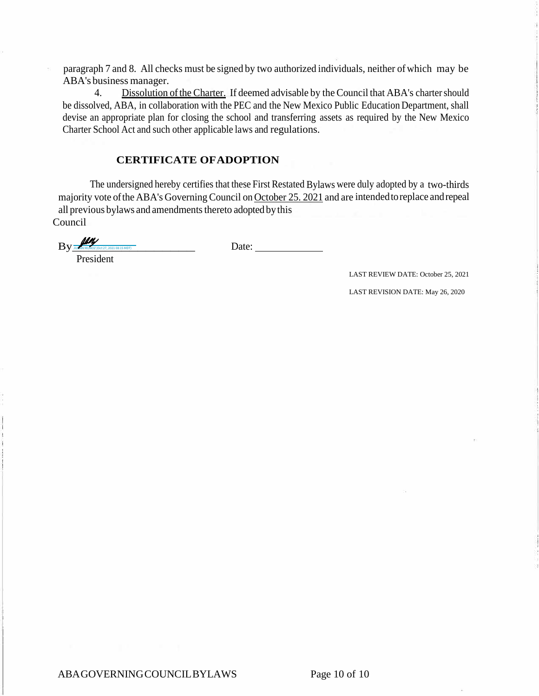paragraph 7 and 8. All checks must be signed by two authorized individuals, neither ofwhich may be ABA's business manager.

4. Dissolution of the Charter. If deemed advisable by the Council that ABA's charter should be dissolved, ABA, in collaboration with the PEC and the New Mexico Public Education Department, shall devise an appropriate plan for closing the school and transferring assets as required by the New Mexico Charter School Act and such other applicable laws and regulations.

#### **CERTIFICATE OFADOPTION**

The undersigned hereby certifies that these First Restated Bylaws were duly adopted by a two-thirds majority vote ofthe ABA's Governing Council on October 25. 2021 and are intendedtoreplace andrepeal all previous bylaws and amendments thereto adopted by this Council

 $\mathrm{By}$   $\frac{1}{\frac{\log N}{\log N \text{ MUDKOZ (Oct 27, 2021 08:15 MDT)}}$  $\frac{D}{\text{D}}$ 

President

LAST REVIEW DATE: October 25, 2021

LAST REVISION DATE: May 26, 2020